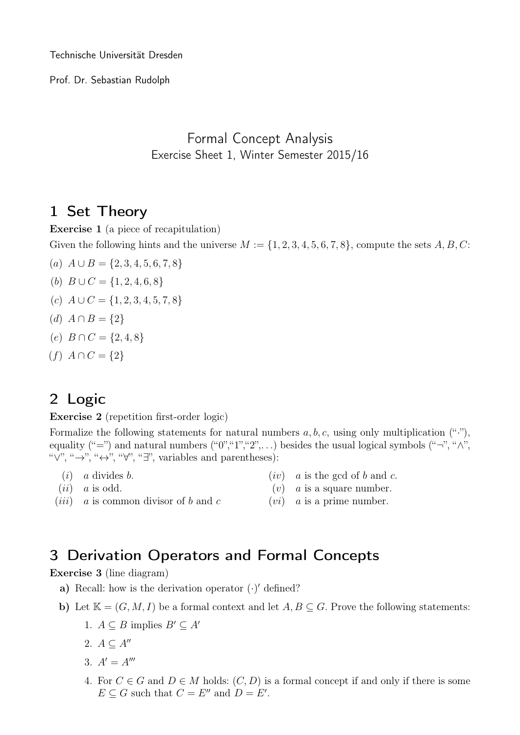Technische Universität Dresden

Prof. Dr. Sebastian Rudolph

#### Formal Concept Analysis Exercise Sheet 1, Winter Semester 2015/16

### 1 Set Theory

Exercise 1 (a piece of recapitulation)

Given the following hints and the universe  $M := \{1, 2, 3, 4, 5, 6, 7, 8\}$ , compute the sets  $A, B, C$ :

- (*a*)  $A \cup B = \{2, 3, 4, 5, 6, 7, 8\}$
- (b)  $B \cup C = \{1, 2, 4, 6, 8\}$
- (c)  $A \cup C = \{1, 2, 3, 4, 5, 7, 8\}$
- (d)  $A \cap B = \{2\}$
- $(e)$   $B \cap C = \{2, 4, 8\}$
- $(f) A \cap C = \{2\}$

## 2 Logic

Exercise 2 (repetition first-order logic)

Formalize the following statements for natural numbers  $a, b, c$ , using only multiplication  $($ "."), equality ("=") and natural numbers ("0","1","2",...) besides the usual logical symbols ("¬", " $\wedge$ ", " $\vee$ ", " $\rightarrow$ ", " $\leftrightarrow$ ", " $\forall$ ", "∃", variables and parentheses):

- $(i)$  a divides b.
- $(ii)$  a is odd.
- $(iv)$  a is the gcd of b and c.
- $(v)$  a is a square number.
- $(iii)$  a is common divisor of b and c
- $(vi)$  a is a prime number.

### 3 Derivation Operators and Formal Concepts

Exercise 3 (line diagram)

- a) Recall: how is the derivation operator  $(\cdot)'$  defined?
- b) Let  $\mathbb{K} = (G, M, I)$  be a formal context and let  $A, B \subseteq G$ . Prove the following statements:
	- 1.  $A \subseteq B$  implies  $B' \subseteq A'$
	- 2.  $A \subseteq A''$
	- 3.  $A' = A'''$
	- 4. For  $C \in G$  and  $D \in M$  holds:  $(C, D)$  is a formal concept if and only if there is some  $E \subseteq G$  such that  $C = E''$  and  $D = E'$ .